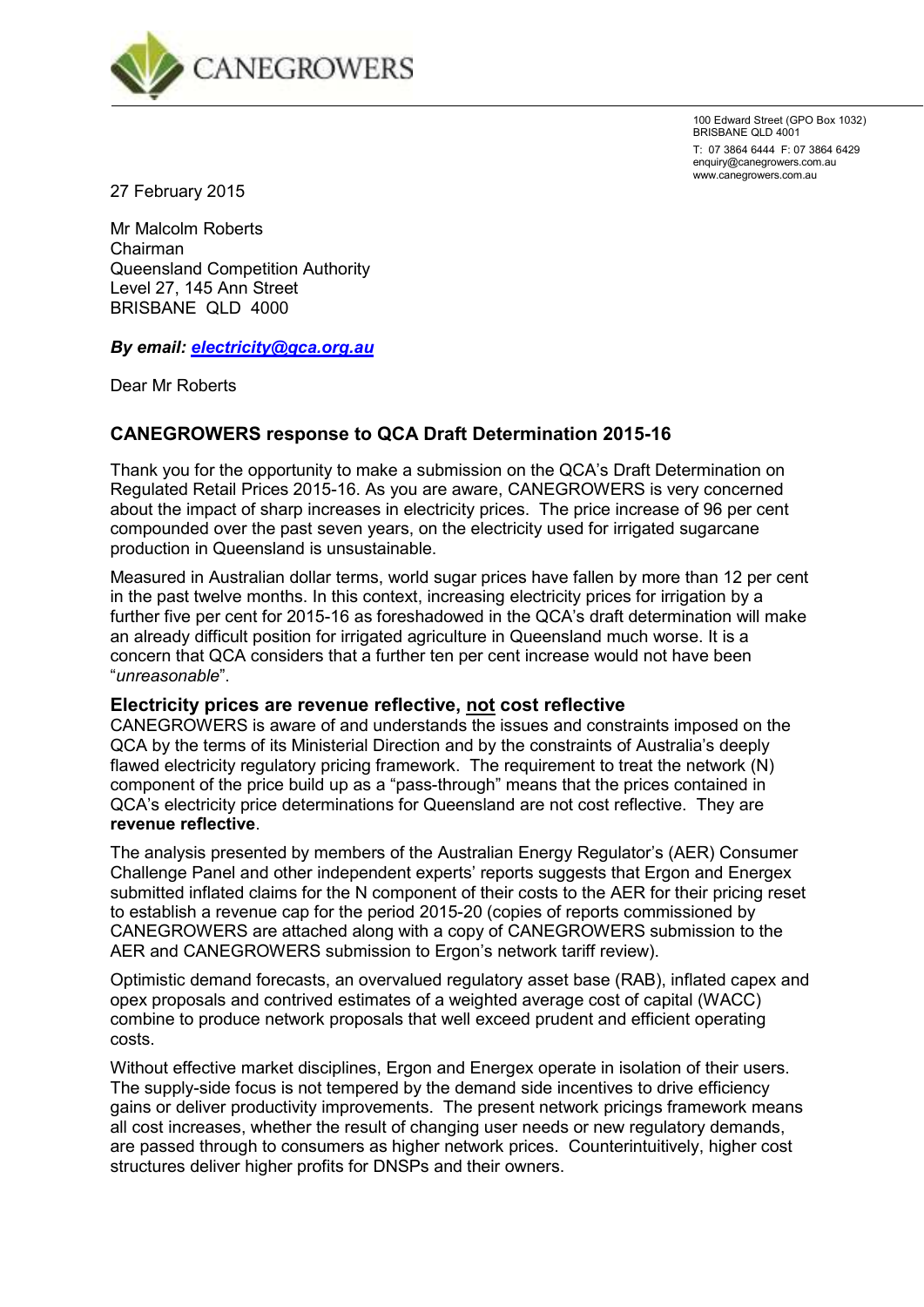

100 Edward Street (GPO Box 1032) BRISBANE QLD 4001

T: 07 3864 6444 F: 07 3864 6429 enquiry@canegrowers.com.au www.canegrowers.com.au

27 February 2015

Mr Malcolm Roberts Chairman Queensland Competition Authority Level 27, 145 Ann Street BRISBANE QLD 4000

*By email: electricity@qca.org.au* 

Dear Mr Roberts

# **CANEGROWERS response to QCA Draft Determination 2015-16**

Thank you for the opportunity to make a submission on the QCA's Draft Determination on Regulated Retail Prices 2015-16. As you are aware, CANEGROWERS is very concerned about the impact of sharp increases in electricity prices. The price increase of 96 per cent compounded over the past seven years, on the electricity used for irrigated sugarcane production in Queensland is unsustainable.

Measured in Australian dollar terms, world sugar prices have fallen by more than 12 per cent in the past twelve months. In this context, increasing electricity prices for irrigation by a further five per cent for 2015-16 as foreshadowed in the QCA's draft determination will make an already difficult position for irrigated agriculture in Queensland much worse. It is a concern that QCA considers that a further ten per cent increase would not have been "*unreasonable*".

## **Electricity prices are revenue reflective, not cost reflective**

CANEGROWERS is aware of and understands the issues and constraints imposed on the QCA by the terms of its Ministerial Direction and by the constraints of Australia's deeply flawed electricity regulatory pricing framework. The requirement to treat the network (N) component of the price build up as a "pass-through" means that the prices contained in QCA's electricity price determinations for Queensland are not cost reflective. They are **revenue reflective**.

The analysis presented by members of the Australian Energy Regulator's (AER) Consumer Challenge Panel and other independent experts' reports suggests that Ergon and Energex submitted inflated claims for the N component of their costs to the AER for their pricing reset to establish a revenue cap for the period 2015-20 (copies of reports commissioned by CANEGROWERS are attached along with a copy of CANEGROWERS submission to the AER and CANEGROWERS submission to Ergon's network tariff review).

Optimistic demand forecasts, an overvalued regulatory asset base (RAB), inflated capex and opex proposals and contrived estimates of a weighted average cost of capital (WACC) combine to produce network proposals that well exceed prudent and efficient operating costs.

Without effective market disciplines, Ergon and Energex operate in isolation of their users. The supply-side focus is not tempered by the demand side incentives to drive efficiency gains or deliver productivity improvements. The present network pricings framework means all cost increases, whether the result of changing user needs or new regulatory demands, are passed through to consumers as higher network prices. Counterintuitively, higher cost structures deliver higher profits for DNSPs and their owners.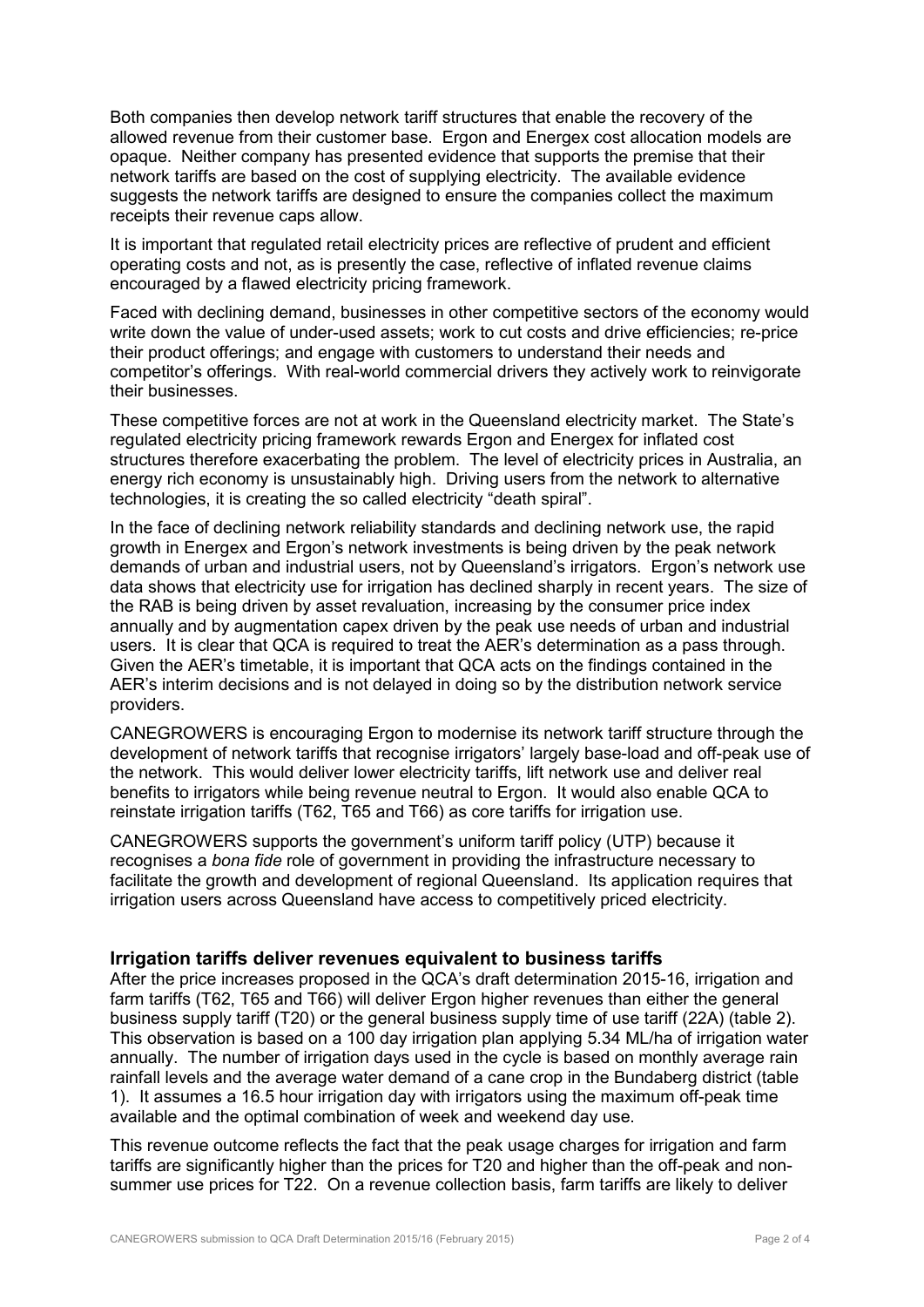Both companies then develop network tariff structures that enable the recovery of the allowed revenue from their customer base. Ergon and Energex cost allocation models are opaque. Neither company has presented evidence that supports the premise that their network tariffs are based on the cost of supplying electricity. The available evidence suggests the network tariffs are designed to ensure the companies collect the maximum receipts their revenue caps allow.

It is important that regulated retail electricity prices are reflective of prudent and efficient operating costs and not, as is presently the case, reflective of inflated revenue claims encouraged by a flawed electricity pricing framework.

Faced with declining demand, businesses in other competitive sectors of the economy would write down the value of under-used assets; work to cut costs and drive efficiencies; re-price their product offerings; and engage with customers to understand their needs and competitor's offerings. With real-world commercial drivers they actively work to reinvigorate their businesses.

These competitive forces are not at work in the Queensland electricity market. The State's regulated electricity pricing framework rewards Ergon and Energex for inflated cost structures therefore exacerbating the problem. The level of electricity prices in Australia, an energy rich economy is unsustainably high. Driving users from the network to alternative technologies, it is creating the so called electricity "death spiral".

In the face of declining network reliability standards and declining network use, the rapid growth in Energex and Ergon's network investments is being driven by the peak network demands of urban and industrial users, not by Queensland's irrigators. Ergon's network use data shows that electricity use for irrigation has declined sharply in recent years. The size of the RAB is being driven by asset revaluation, increasing by the consumer price index annually and by augmentation capex driven by the peak use needs of urban and industrial users. It is clear that QCA is required to treat the AER's determination as a pass through. Given the AER's timetable, it is important that QCA acts on the findings contained in the AER's interim decisions and is not delayed in doing so by the distribution network service providers.

CANEGROWERS is encouraging Ergon to modernise its network tariff structure through the development of network tariffs that recognise irrigators' largely base-load and off-peak use of the network. This would deliver lower electricity tariffs, lift network use and deliver real benefits to irrigators while being revenue neutral to Ergon. It would also enable QCA to reinstate irrigation tariffs (T62, T65 and T66) as core tariffs for irrigation use.

CANEGROWERS supports the government's uniform tariff policy (UTP) because it recognises a *bona fide* role of government in providing the infrastructure necessary to facilitate the growth and development of regional Queensland. Its application requires that irrigation users across Queensland have access to competitively priced electricity.

## **Irrigation tariffs deliver revenues equivalent to business tariffs**

After the price increases proposed in the QCA's draft determination 2015-16, irrigation and farm tariffs (T62, T65 and T66) will deliver Ergon higher revenues than either the general business supply tariff (T20) or the general business supply time of use tariff (22A) (table 2). This observation is based on a 100 day irrigation plan applying 5.34 ML/ha of irrigation water annually. The number of irrigation days used in the cycle is based on monthly average rain rainfall levels and the average water demand of a cane crop in the Bundaberg district (table 1). It assumes a 16.5 hour irrigation day with irrigators using the maximum off-peak time available and the optimal combination of week and weekend day use.

This revenue outcome reflects the fact that the peak usage charges for irrigation and farm tariffs are significantly higher than the prices for T20 and higher than the off-peak and nonsummer use prices for T22. On a revenue collection basis, farm tariffs are likely to deliver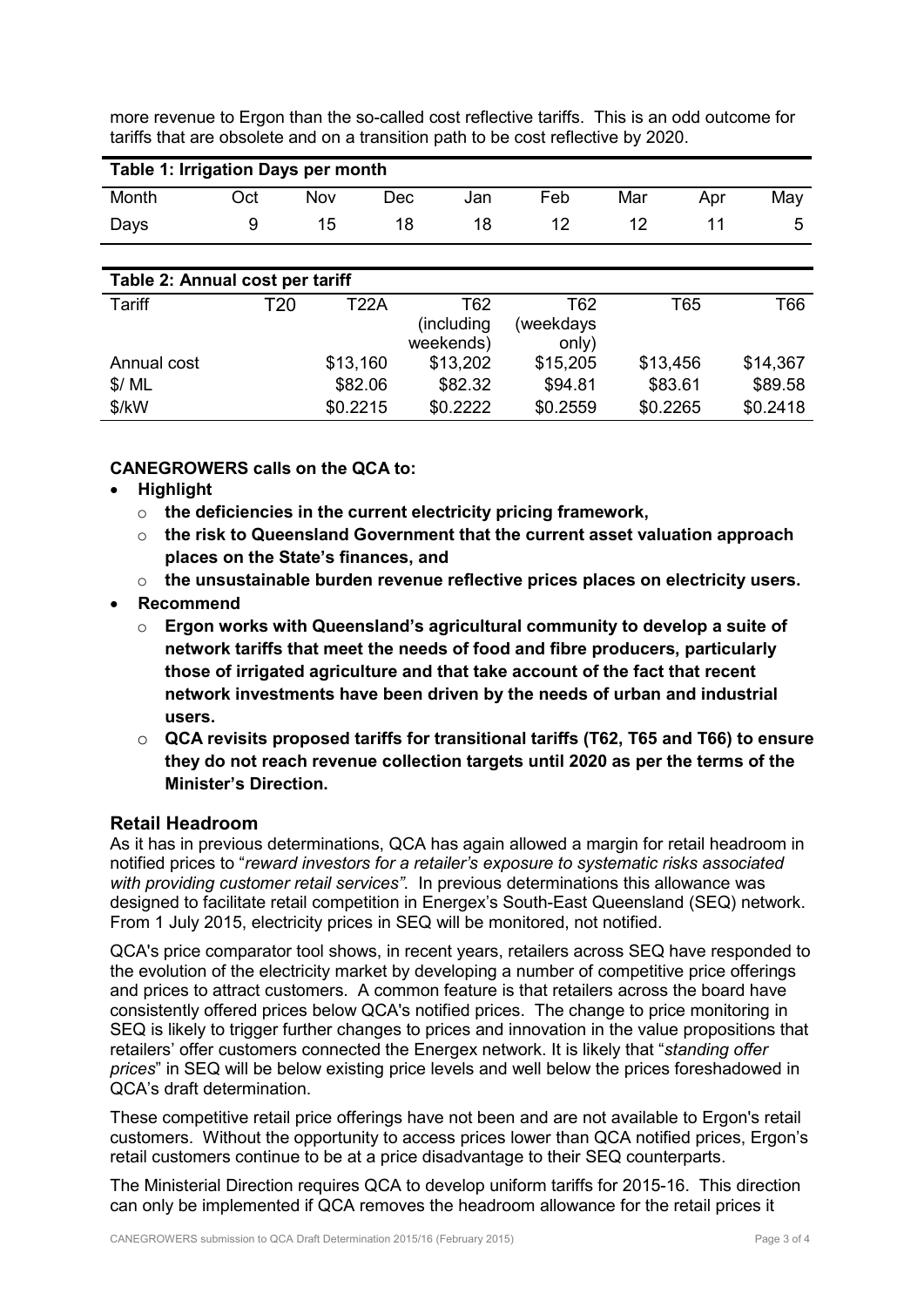more revenue to Ergon than the so-called cost reflective tariffs. This is an odd outcome for tariffs that are obsolete and on a transition path to be cost reflective by 2020.

| Table 1: Irrigation Days per month |                 |          |                   |           |            |            |
|------------------------------------|-----------------|----------|-------------------|-----------|------------|------------|
| Month                              | Oct             | Nov      | <b>Dec</b><br>Jan | Feb       | Mar        | May<br>Apr |
| Days                               | 9               | 15       | 18<br>18          | 12        | 12         | 11<br>5    |
|                                    |                 |          |                   |           |            |            |
| Table 2: Annual cost per tariff    |                 |          |                   |           |            |            |
| Tariff                             | T <sub>20</sub> | T22A     | T62               | T62       | <b>T65</b> | T66        |
|                                    |                 |          | (including        | weekdays) |            |            |
|                                    |                 |          | weekends)         | only)     |            |            |
| Annual cost                        |                 | \$13,160 | \$13,202          | \$15,205  | \$13,456   | \$14,367   |
| \$/ML                              |                 | \$82.06  | \$82.32           | \$94.81   | \$83.61    | \$89.58    |
| \$/kW                              |                 | \$0.2215 | \$0.2222          | \$0.2559  | \$0.2265   | \$0.2418   |

**CANEGROWERS calls on the QCA to:** 

- **Highlight** 
	- o **the deficiencies in the current electricity pricing framework,**
	- o **the risk to Queensland Government that the current asset valuation approach places on the State's finances, and**
	- o **the unsustainable burden revenue reflective prices places on electricity users.**
- **Recommend** 
	- o **Ergon works with Queensland's agricultural community to develop a suite of network tariffs that meet the needs of food and fibre producers, particularly those of irrigated agriculture and that take account of the fact that recent network investments have been driven by the needs of urban and industrial users.**
	- o **QCA revisits proposed tariffs for transitional tariffs (T62, T65 and T66) to ensure they do not reach revenue collection targets until 2020 as per the terms of the Minister's Direction.**

# **Retail Headroom**

As it has in previous determinations, QCA has again allowed a margin for retail headroom in notified prices to "*reward investors for a retailer's exposure to systematic risks associated with providing customer retail services"*. In previous determinations this allowance was designed to facilitate retail competition in Energex's South-East Queensland (SEQ) network. From 1 July 2015, electricity prices in SEQ will be monitored, not notified.

QCA's price comparator tool shows, in recent years, retailers across SEQ have responded to the evolution of the electricity market by developing a number of competitive price offerings and prices to attract customers. A common feature is that retailers across the board have consistently offered prices below QCA's notified prices. The change to price monitoring in SEQ is likely to trigger further changes to prices and innovation in the value propositions that retailers' offer customers connected the Energex network. It is likely that "*standing offer prices*" in SEQ will be below existing price levels and well below the prices foreshadowed in QCA's draft determination.

These competitive retail price offerings have not been and are not available to Ergon's retail customers. Without the opportunity to access prices lower than QCA notified prices, Ergon's retail customers continue to be at a price disadvantage to their SEQ counterparts.

The Ministerial Direction requires QCA to develop uniform tariffs for 2015-16. This direction can only be implemented if QCA removes the headroom allowance for the retail prices it